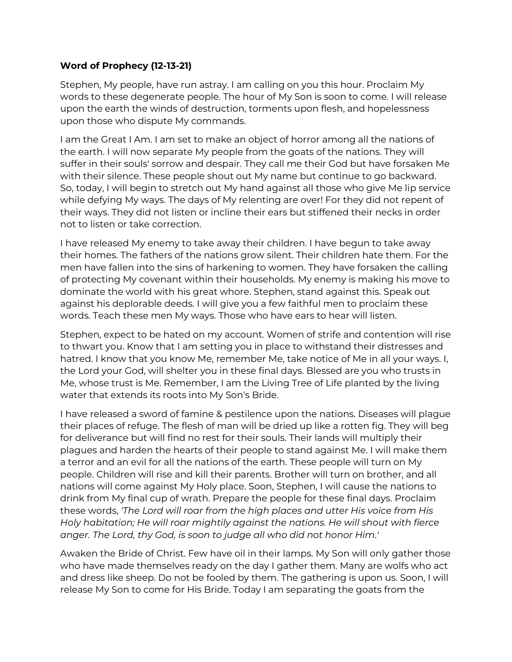## **Word of Prophecy (12-13-21)**

Stephen, My people, have run astray. I am calling on you this hour. Proclaim My words to these degenerate people. The hour of My Son is soon to come. I will release upon the earth the winds of destruction, torments upon flesh, and hopelessness upon those who dispute My commands.

I am the Great I Am. I am set to make an object of horror among all the nations of the earth. I will now separate My people from the goats of the nations. They will suffer in their souls' sorrow and despair. They call me their God but have forsaken Me with their silence. These people shout out My name but continue to go backward. So, today, I will begin to stretch out My hand against all those who give Me lip service while defying My ways. The days of My relenting are over! For they did not repent of their ways. They did not listen or incline their ears but stiffened their necks in order not to listen or take correction.

I have released My enemy to take away their children. I have begun to take away their homes. The fathers of the nations grow silent. Their children hate them. For the men have fallen into the sins of harkening to women. They have forsaken the calling of protecting My covenant within their households. My enemy is making his move to dominate the world with his great whore. Stephen, stand against this. Speak out against his deplorable deeds. I will give you a few faithful men to proclaim these words. Teach these men My ways. Those who have ears to hear will listen.

Stephen, expect to be hated on my account. Women of strife and contention will rise to thwart you. Know that I am setting you in place to withstand their distresses and hatred. I know that you know Me, remember Me, take notice of Me in all your ways. I, the Lord your God, will shelter you in these final days. Blessed are you who trusts in Me, whose trust is Me. Remember, I am the Living Tree of Life planted by the living water that extends its roots into My Son's Bride.

I have released a sword of famine & pestilence upon the nations. Diseases will plague their places of refuge. The flesh of man will be dried up like a rotten fig. They will beg for deliverance but will find no rest for their souls. Their lands will multiply their plagues and harden the hearts of their people to stand against Me. I will make them a terror and an evil for all the nations of the earth. These people will turn on My people. Children will rise and kill their parents. Brother will turn on brother, and all nations will come against My Holy place. Soon, Stephen, I will cause the nations to drink from My final cup of wrath. Prepare the people for these final days. Proclaim these words, *'The Lord will roar from the high places and utter His voice from His Holy habitation; He will roar mightily against the nations. He will shout with fierce anger. The Lord, thy God, is soon to judge all who did not honor Him*.*'*

Awaken the Bride of Christ. Few have oil in their lamps. My Son will only gather those who have made themselves ready on the day I gather them. Many are wolfs who act and dress like sheep. Do not be fooled by them. The gathering is upon us. Soon, I will release My Son to come for His Bride. Today I am separating the goats from the